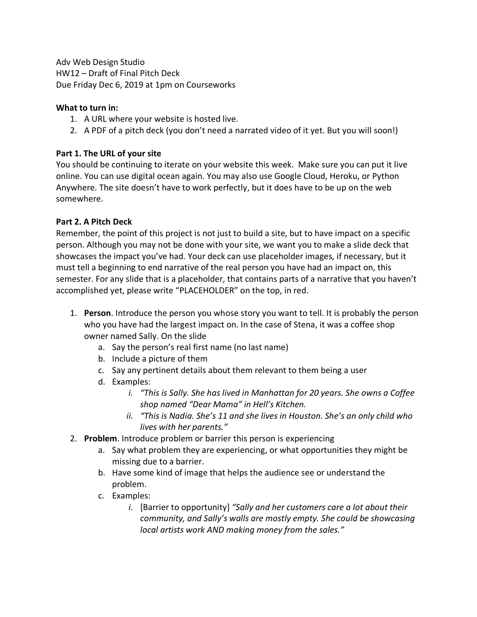Adv Web Design Studio HW12 – Draft of Final Pitch Deck Due Friday Dec 6, 2019 at 1pm on Courseworks

## **What to turn in:**

- 1. A URL where your website is hosted live.
- 2. A PDF of a pitch deck (you don't need a narrated video of it yet. But you will soon!)

## **Part 1. The URL of your site**

You should be continuing to iterate on your website this week. Make sure you can put it live online. You can use digital ocean again. You may also use Google Cloud, Heroku, or Python Anywhere. The site doesn't have to work perfectly, but it does have to be up on the web somewhere.

## **Part 2. A Pitch Deck**

Remember, the point of this project is not just to build a site, but to have impact on a specific person. Although you may not be done with your site, we want you to make a slide deck that showcases the impact you've had. Your deck can use placeholder images, if necessary, but it must tell a beginning to end narrative of the real person you have had an impact on, this semester. For any slide that is a placeholder, that contains parts of a narrative that you haven't accomplished yet, please write "PLACEHOLDER" on the top, in red.

- 1. **Person**. Introduce the person you whose story you want to tell. It is probably the person who you have had the largest impact on. In the case of Stena, it was a coffee shop owner named Sally. On the slide
	- a. Say the person's real first name (no last name)
	- b. Include a picture of them
	- c. Say any pertinent details about them relevant to them being a user
	- d. Examples:
		- *i. "This is Sally. She has lived in Manhattan for 20 years. She owns a Coffee shop named "Dear Mama" in Hell's Kitchen.*
		- *ii. "This is Nadia. She's 11 and she lives in Houston. She's an only child who lives with her parents."*
- 2. **Problem**. Introduce problem or barrier this person is experiencing
	- a. Say what problem they are experiencing, or what opportunities they might be missing due to a barrier.
	- b. Have some kind of image that helps the audience see or understand the problem.
	- c. Examples:
		- *i.* [Barrier to opportunity] *"Sally and her customers care a lot about their community, and Sally's walls are mostly empty. She could be showcasing local artists work AND making money from the sales."*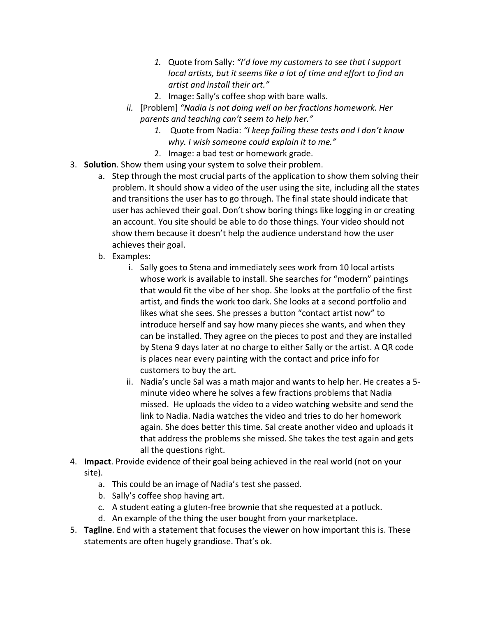- *1.* Quote from Sally: *"I'd love my customers to see that I support local artists, but it seems like a lot of time and effort to find an artist and install their art."*
- 2. Image: Sally's coffee shop with bare walls.
- *ii.* [Problem] *"Nadia is not doing well on her fractions homework. Her parents and teaching can't seem to help her."*
	- *1.* Quote from Nadia: *"I keep failing these tests and I don't know why. I wish someone could explain it to me."*
	- 2. Image: a bad test or homework grade.
- 3. **Solution**. Show them using your system to solve their problem.
	- a. Step through the most crucial parts of the application to show them solving their problem. It should show a video of the user using the site, including all the states and transitions the user has to go through. The final state should indicate that user has achieved their goal. Don't show boring things like logging in or creating an account. You site should be able to do those things. Your video should not show them because it doesn't help the audience understand how the user achieves their goal.
	- b. Examples:
		- i. Sally goes to Stena and immediately sees work from 10 local artists whose work is available to install. She searches for "modern" paintings that would fit the vibe of her shop. She looks at the portfolio of the first artist, and finds the work too dark. She looks at a second portfolio and likes what she sees. She presses a button "contact artist now" to introduce herself and say how many pieces she wants, and when they can be installed. They agree on the pieces to post and they are installed by Stena 9 days later at no charge to either Sally or the artist. A QR code is places near every painting with the contact and price info for customers to buy the art.
		- ii. Nadia's uncle Sal was a math major and wants to help her. He creates a 5 minute video where he solves a few fractions problems that Nadia missed. He uploads the video to a video watching website and send the link to Nadia. Nadia watches the video and tries to do her homework again. She does better this time. Sal create another video and uploads it that address the problems she missed. She takes the test again and gets all the questions right.
- 4. **Impact**. Provide evidence of their goal being achieved in the real world (not on your site).
	- a. This could be an image of Nadia's test she passed.
	- b. Sally's coffee shop having art.
	- c. A student eating a gluten-free brownie that she requested at a potluck.
	- d. An example of the thing the user bought from your marketplace.
- 5. **Tagline**. End with a statement that focuses the viewer on how important this is. These statements are often hugely grandiose. That's ok.